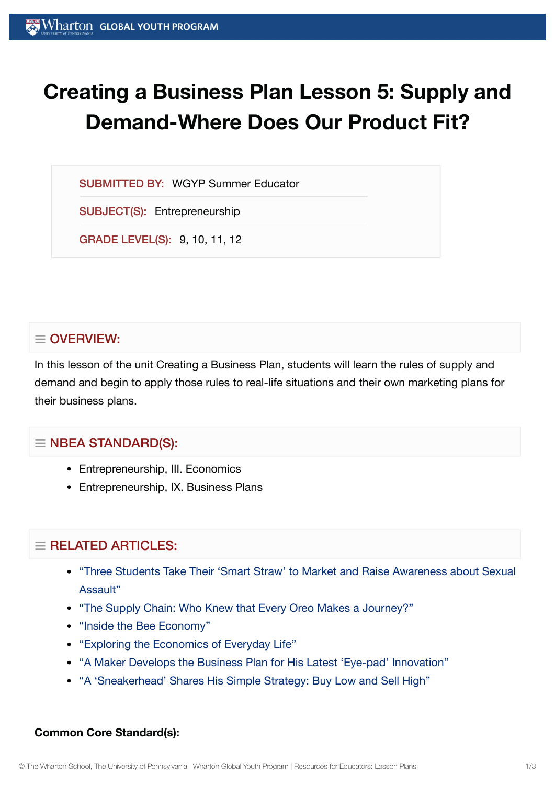# **Creating a Business Plan Lesson 5: Supply and Demand-Where Does Our Product Fit?**

SUBMITTED BY: WGYP Summer Educator

SUBJECT(S): Entrepreneurship

GRADE LEVEL(S): 9, 10, 11, 12

## $\equiv$  OVERVIEW:

In this lesson of the unit Creating a Business Plan, students will learn the rules of supply and demand and begin to apply those rules to real-life situations and their own marketing plans for their business plans.

## $\equiv$  NBEA STANDARD(S):

- Entrepreneurship, III. Economics
- Entrepreneurship, IX. Business Plans

# $\equiv$  RELATED ARTICLES:

- "Three Students Take Their 'Smart Straw' to Market and Raise [Awareness about](https://globalyouth.wharton.upenn.edu/articles/three-students-take-smart-straws-market-raise-awareness-sexual-assault/) Sexual Assault"
- "The [Supply Chain:](https://globalyouth.wharton.upenn.edu/articles/the-supply-chain-who-knew-that-every-oreo-makes-a-journey/) Who Knew that Every Oreo Makes a Journey?"
- "Inside the Bee [Economy"](https://globalyouth.wharton.upenn.edu/articles/inside-bee-economy/)
- "Exploring the Economics of [Everyday Life"](https://globalyouth.wharton.upenn.edu/articles/economics-everyday-life/)
- "A Maker Develops the [Business Plan](https://globalyouth.wharton.upenn.edu/articles/young-maker-develops-business-plan-latest-eye-pad-innovation/) for His Latest 'Eye-pad' Innovation"
- "A 'Sneakerhead' [Shares His Simple](https://globalyouth.wharton.upenn.edu/articles/sneakerheads-simple-strategy-buy-low-sell-high/) Strategy: Buy Low and Sell High"

#### **Common Core Standard(s):**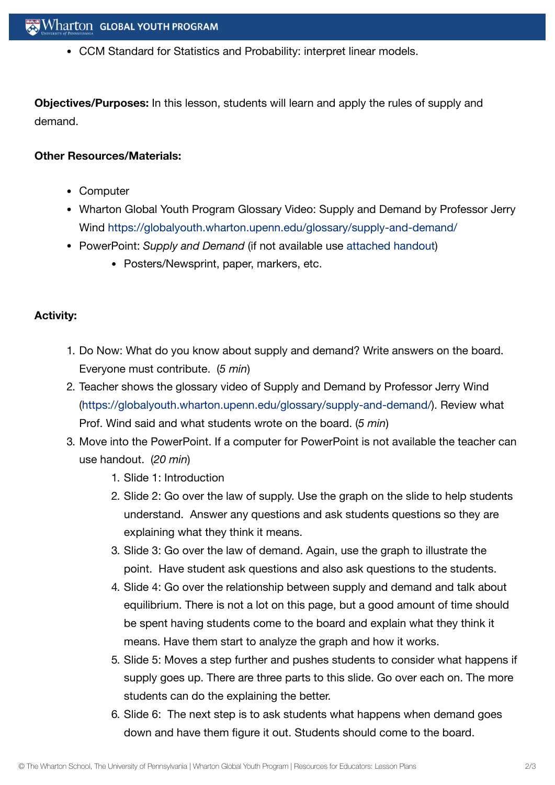CCM Standard for Statistics and Probability: interpret linear models.

**Objectives/Purposes:** In this lesson, students will learn and apply the rules of supply and demand.

#### **Other Resources/Materials:**

- Computer
- Wharton Global Youth Program Glossary Video: Supply and Demand by Professor Jerry Wind <https://globalyouth.wharton.upenn.edu/glossary/supply-and-demand/>
- PowerPoint: *Supply and Demand* (if not available use [attached](https://globalyouth.wharton.upenn.edu/wp-content/uploads/2012/01/Entrepreneurship5_BusinessPlana_slides.pdf) handout)
	- Posters/Newsprint, paper, markers, etc.

### **Activity:**

- 1. Do Now: What do you know about supply and demand? Write answers on the board. Everyone must contribute. (*5 min*)
- 2. Teacher shows the glossary video of Supply and Demand by Professor Jerry Wind [\(https://globalyouth.wharton.upenn.edu/glossary/supply-and-demand/\)](https://globalyouth.wharton.upenn.edu/glossary/supply-and-demand/). Review what Prof. Wind said and what students wrote on the board. (*5 min*)
- 3. Move into the PowerPoint. If a computer for PowerPoint is not available the teacher can use handout. (*20 min*)
	- 1. Slide 1: Introduction
	- 2. Slide 2: Go over the law of supply. Use the graph on the slide to help students understand. Answer any questions and ask students questions so they are explaining what they think it means.
	- 3. Slide 3: Go over the law of demand. Again, use the graph to illustrate the point. Have student ask questions and also ask questions to the students.
	- 4. Slide 4: Go over the relationship between supply and demand and talk about equilibrium. There is not a lot on this page, but a good amount of time should be spent having students come to the board and explain what they think it means. Have them start to analyze the graph and how it works.
	- 5. Slide 5: Moves a step further and pushes students to consider what happens if supply goes up. There are three parts to this slide. Go over each on. The more students can do the explaining the better.
	- 6. Slide 6: The next step is to ask students what happens when demand goes down and have them figure it out. Students should come to the board.